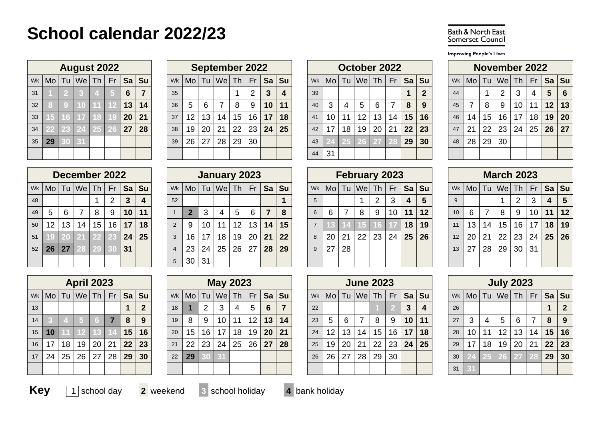## **School calendar 2022/23**

| <b>Bath &amp; North East</b> |  |
|------------------------------|--|
| <b>Somerset Council</b>      |  |

**Improving People's Lives** 

|    |                |                 | <b>August 2022</b>          |    |           |    |           |
|----|----------------|-----------------|-----------------------------|----|-----------|----|-----------|
| Wk | M <sub>O</sub> | Tu              | $ \mathsf{We} \mathsf{Th} $ |    | <b>Fr</b> | Sa | <b>Su</b> |
| 31 |                | 2               | 3                           | 4  | 5         | 6  | 7         |
| 32 | 8              | g               | 10                          | 11 | 12        | 13 | 14        |
| 33 | 15             | 16              | 17                          | 18 | 19        | 20 | 21        |
| 34 | 22             | 23              | 24                          | 25 | 26        | 27 | 28        |
| 35 | 29             | $\overline{30}$ | 31                          |    |           |    |           |
|    |                |                 |                             |    |           |    |           |

|    |              | <b>August 2022</b>          |  |    |         |    |                          |    | September 2022 |    |                 |                 |              |    |    |     | October 2022      |                 |    |                 |            |    |                 |    | November 2022 |                 |                      |                |     |
|----|--------------|-----------------------------|--|----|---------|----|--------------------------|----|----------------|----|-----------------|-----------------|--------------|----|----|-----|-------------------|-----------------|----|-----------------|------------|----|-----------------|----|---------------|-----------------|----------------------|----------------|-----|
|    |              | wk   Mo   Tu   We   Th   Fr |  |    | Sa   Su |    | $Wk$   Mo   Tu   We   Th |    |                |    | <b>Fr</b>       |                 | Sa Su        |    |    |     | Wk   Mo   Tu   We | Th <sub>1</sub> |    |                 | $Fr$ Sa Su |    | Wk   Mo         |    | Tu   We   Th  |                 | Fr Sa Su             |                |     |
| 31 |              |                             |  | 6  |         | 35 |                          |    |                |    | 2               | 3               |              | 39 |    |     |                   |                 |    |                 |            | 44 |                 |    | 2             | 3               |                      | 5 <sup>5</sup> | - 6 |
| 32 |              |                             |  | 13 | 14      | 36 | $5\overline{)}$          | 6  |                | 8  | -9              | 10 <sup>°</sup> | 11           | 40 | 3  | 4   | 5 <sup>5</sup>    | 6               |    | 8               | 9          | 45 |                 | 8  | 9             | 10 <sup>1</sup> |                      | 12             | 13  |
| 33 |              |                             |  |    | 20 21   | 37 | 12                       | 13 | 14             | 15 | 16 <sup>1</sup> | 17 <sup>1</sup> | 18           | 41 | 10 | -11 | 12 <sup>2</sup>   | 13              | 14 | 15              | 16         | 46 | 14              | 15 | 16            | 17              | 18                   | 19             | 20  |
| 34 |              |                             |  | 27 | 28      | 38 | 19                       | 20 | 21             | 22 | $23 \mid$       |                 | $24 \mid 25$ | 42 | 17 | 18  | 19 <sup>1</sup>   | 20              | 21 | 22 <sub>1</sub> | 23         | 47 | 21              | 22 | 23            | $24 \mid$       | $25 \mid 26 \mid 27$ |                |     |
|    | $35 \mid 29$ |                             |  |    |         | 39 | 26                       | 27 | 28             | 29 | 30              |                 |              | 43 |    |     |                   |                 |    | 29              | 30         | 48 | 28 <sup>1</sup> | 29 | 30            |                 |                      |                |     |
|    |              |                             |  |    |         |    |                          |    |                |    |                 |                 |              | 44 | 31 |     |                   |                 |    |                 |            |    |                 |    |               |                 |                      |                |     |

|    |    |    | December 2022          |                 |    |    |           |
|----|----|----|------------------------|-----------------|----|----|-----------|
| Wk |    |    | Mo   Tu   We   Th   Fr |                 |    | Sa | <b>Su</b> |
| 48 |    |    |                        | 1               | 2  | 3  | 4         |
| 49 | 5  | 6  | 7                      | 8               | 9  | 10 | 11        |
| 50 | 12 | 13 | 14                     | 15              | 16 | 17 | 18        |
| 51 | 19 | 20 | 21                     | $\overline{22}$ | 23 | 24 | 25        |
| 52 | 26 | 27 | 28                     | 29              | 30 | 31 |           |
|    |    |    |                        |                 |    |    |           |

|                |                |    | January 2023                     |                 |    |                |    |
|----------------|----------------|----|----------------------------------|-----------------|----|----------------|----|
| Wk             |                |    | Mo   Tu   We   Th   Fr   Sa   Su |                 |    |                |    |
| 52             |                |    |                                  |                 |    |                |    |
| $\mathbf{1}$   | $\overline{2}$ | 3  | $\overline{4}$                   | 5               | 6  | $\overline{7}$ | 8  |
| $\overline{2}$ | 9              | 10 | 11                               | 12 <sub>2</sub> | 13 | 14             | 15 |
| $\overline{3}$ | 16             | 17 | 18                               | 19              | 20 | 21             | 22 |
| $\overline{4}$ | 23             | 24 | 25                               | 26              | 27 | 28             | 29 |
| $\overline{5}$ | 30             | 31 |                                  |                 |    |                |    |

|    |    |                | <b>April 2023</b>                |    |                |    |                |
|----|----|----------------|----------------------------------|----|----------------|----|----------------|
| Wk |    |                | Mo   Tu   We   Th   Fr   Sa   Su |    |                |    |                |
| 13 |    |                |                                  |    |                | 1  | $\overline{2}$ |
| 14 | 3  | $\overline{A}$ | 5                                | 6  | $\overline{7}$ | 8  | 9              |
| 15 | 10 | 11             | 12 <sup>1</sup>                  |    | $13 \mid 14$   | 15 | 16             |
| 16 | 17 | 18             | 19                               | 20 | 21             | 22 | 23             |
| 17 | 24 | 25             | 26                               | 27 | 28             | 29 | 30             |
|    |    |                |                                  |    |                |    |                |

|                 |                      | <b>April 2023</b>           |    |    |    |         |           |                    |                 | <b>May 2023</b> |    |                 |       |              |    |    |                 | <b>June 2023</b>            |    |    |              |    |    |                 |       | <b>July 2023</b> |                 |     |                 |             |
|-----------------|----------------------|-----------------------------|----|----|----|---------|-----------|--------------------|-----------------|-----------------|----|-----------------|-------|--------------|----|----|-----------------|-----------------------------|----|----|--------------|----|----|-----------------|-------|------------------|-----------------|-----|-----------------|-------------|
|                 |                      | wk   Mo   Tu   We   Th   Fr |    |    |    | $Sa$ Su |           | $Wk$ Mo Tu $We$ Th |                 |                 |    | Fr              |       | Sa Su        |    |    |                 | Wk   Mo   Tu   We           | Th |    | Fr   Sa   Su |    |    | Wk   Mo         |       | Tu   We   Th     |                 |     | Fr Sa Su        |             |
| 13              |                      |                             |    |    |    | 2       | 18        |                    | 2               | -3              | 4  | 5               | 6     |              | 22 |    |                 |                             |    |    | $\mathbf{3}$ | 4  | 26 |                 |       |                  |                 |     |                 | $\mathbf 2$ |
| 14              |                      |                             |    |    | 8  | 9       | 19        | 8                  | 9               | 10              | 11 | 12 <sup>1</sup> | 13    | 14           | 23 | 5  | 6               |                             | 8  | 9  | 10           | 11 | 27 | 3               |       | 5                | -6              |     | 8               | -9          |
|                 | $15 \,   \, 10 \,  $ |                             |    |    | 15 | 16      | 20        | 15                 | 16 <sup>1</sup> | 17              | 18 | 19 I            | 20 21 |              | 24 | 12 | 13 <sup>1</sup> | 14                          | 15 | 16 | 17           | 18 | 28 | 10 <sup>°</sup> | $-11$ | 12               | 13 <sup>1</sup> | 14  | 15              | 16          |
| 16 <sup>7</sup> | 17                   | 18   19                     | 20 | 21 | 22 | 23      | 21        | 22                 | 23              | 24              | 25 | 26 l            |       | $27 \mid 28$ | 25 | 19 | -20             | $\overline{\phantom{1}}$ 21 | 22 | 23 | 24           | 25 | 29 | 17              | 18    | 19               | 20              | -21 | 22 <sub>1</sub> | 23          |
|                 | $17 \mid 24$         | $25$ 26                     | 27 | 28 | 29 | 30      | $22 \mid$ | 29                 |                 |                 |    |                 |       |              | 26 | 26 | 27              | 28                          | 29 | 30 |              |    | 30 |                 | 125   |                  |                 |     | 29              | 30          |
|                 |                      |                             |    |    |    |         |           |                    |                 |                 |    |                 |       |              |    |    |                 |                             |    |    |              |    | 31 |                 |       |                  |                 |     |                 |             |

|    |    |    | October 2022      |    |    |    |              |
|----|----|----|-------------------|----|----|----|--------------|
| Wk |    |    | Mo   Tu   We   Th |    | Fr | Sa | Su           |
| 39 |    |    |                   |    |    | 1  | $\mathbf{2}$ |
| 40 | 3  | 4  | 5                 | 6  | 7  | 8  | 9            |
| 41 | 10 | 11 | 12                | 13 | 14 | 15 | 16           |
| 42 | 17 | 18 | 19                | 20 | 21 | 22 | 23           |
| 43 | 24 | 25 | 26                | 27 | 28 | 29 | 30           |
| 44 | 31 |    |                   |    |    |    |              |

|    |                |                  | November 2022               |    |    |    |    |
|----|----------------|------------------|-----------------------------|----|----|----|----|
| Wk |                |                  | Mo   Tu   We   Th   Fr   Sa |    |    |    | Su |
| 44 |                |                  | 2                           | 3  | 4  | 5  | 6  |
| 45 | $\overline{7}$ | 8                | 9                           | 10 | 11 | 12 | 13 |
| 46 | 14             | 15 <sub>15</sub> | 16                          | 17 | 18 | 19 | 20 |
| 47 | 21             | 22               | 23                          | 24 | 25 | 26 | 27 |
| 48 | 28             | 29               | 30                          |    |    |    |    |
|    |                |                  |                             |    |    |    |    |

|    |                      |                 | December 2022               |    |                 |                 |       |    |                        |    | January 2023 |                 |                 |                           |       |   |    |    | February 2023     |                 |            |    |              |                 |                 |      | <b>March 2023</b>           |              |                 |                 |    |
|----|----------------------|-----------------|-----------------------------|----|-----------------|-----------------|-------|----|------------------------|----|--------------|-----------------|-----------------|---------------------------|-------|---|----|----|-------------------|-----------------|------------|----|--------------|-----------------|-----------------|------|-----------------------------|--------------|-----------------|-----------------|----|
|    |                      |                 | wk   Mo   Tu   We   Th   Fr |    |                 |                 | Sa Su |    | Wk   Mo   Tu   We   Th |    |              |                 |                 | Fr   Sa   Su <sup> </sup> |       |   |    |    | Wk   Mo   Tu   We | Th <sub>1</sub> |            |    | Fr   Sa   Su |                 | Wk   Mo         |      | Tu   We   Th   Fr   Sa   Su |              |                 |                 |    |
| 48 |                      |                 |                             |    |                 |                 | 4     | 52 |                        |    |              |                 |                 |                           |       |   |    |    |                   | $\overline{2}$  | 3          | 4  |              |                 |                 |      |                             | 2            |                 | 4               | 5  |
| 49 | 5                    | -6              |                             | 8  | 9               | 10 <sub>1</sub> | 11    |    | $\mathbf{2}$           | 3  | 4            | 5               | 6               | 7                         |       | 6 | 6  |    | 8                 | 9               | 10         | 11 | 12           | 10 <sup>1</sup> | 6               |      | 8                           | 9            | 10 <sub>1</sub> | 11 <sub>1</sub> | 12 |
| 50 | 12                   | 13 <sup>1</sup> | 14                          | 15 | 16 <sup>1</sup> | 17              | 18    |    | 9                      | 10 | 11           | 12              | 13 I            |                           | 14 15 |   |    |    |                   |                 |            | 18 | 19           | 11              | 13              | 14 . | 15                          | 16           |                 | 17 18           | 19 |
| 51 |                      |                 |                             |    |                 | 24              | 25    |    | 16                     | 17 | 18           | 19              | 20 <sub>1</sub> | $21 \mid 22$              |       | 8 | 20 | 21 | 22                | 23 <sub>1</sub> | $24$ 25 26 |    |              | 12              | 20 <sub>1</sub> | 21   | 22                          |              | 23 24 25 26     |                 |    |
|    | $52 \mid 26 \mid 27$ |                 |                             |    |                 | 31              |       |    | 23                     | 24 | 25           | 26 <sup>1</sup> | 27              | 28 <sup>1</sup>           | 29    | 9 | 27 | 28 |                   |                 |            |    |              | 13              | 27              | 28   | 29                          | $30 \mid 31$ |                 |                 |    |
|    |                      |                 |                             |    |                 |                 |       |    | 30 <sup>1</sup>        | 31 |              |                 |                 |                           |       |   |    |    |                   |                 |            |    |              |                 |                 |      |                             |              |                 |                 |    |

|                 |    |    | <b>March 2023</b> |                |                             |    |    |
|-----------------|----|----|-------------------|----------------|-----------------------------|----|----|
| Vk              |    |    |                   |                | Mo   Tu   We   Th   Fr   Sa |    | Su |
| 9               |    |    |                   | $\overline{2}$ | 3                           | 4  | 5  |
| 10              | 6  | 7  | 8                 | 9              | 10                          | 11 | 12 |
| $\overline{11}$ | 13 | 14 | 15 <sub>1</sub>   | 16             | 17                          | 18 | 19 |
| $\overline{12}$ | 20 | 21 | 22                | 23             | 24                          | 25 | 26 |
| 13              | 27 | 28 | 29                | 30             | 31                          |    |    |
|                 |    |    |                   |                |                             |    |    |

|    |    |    | <b>June 2023</b>            |    |                |    |                         |
|----|----|----|-----------------------------|----|----------------|----|-------------------------|
| Wk |    |    | Mo   Tu   We   Th   Fr   Sa |    |                |    | Su                      |
| 22 |    |    |                             |    | $\overline{2}$ | 3  | $\overline{\mathbf{4}}$ |
| 23 | 5  | 6  | 7                           | 8  | 9              | 10 | 11                      |
| 24 | 12 | 13 | 14                          | 15 | 16             | 17 | 18                      |
| 25 | 19 | 20 | 21                          | 22 | 23             | 24 | 25                      |
| 26 | 26 | 27 | 28                          | 29 | 30             |    |                         |
|    |    |    |                             |    |                |    |                         |

| <b>July 2023</b> |    |                |                        |    |    |    |                |  |  |
|------------------|----|----------------|------------------------|----|----|----|----------------|--|--|
| Wk               |    |                | Mo   Tu   We   Th   Fr |    |    | Sa | Su             |  |  |
| 26               |    |                |                        |    |    | 1  | $\overline{2}$ |  |  |
| 27               | 3  | $\overline{4}$ | 5                      | 6  | 7  | 8  | 9              |  |  |
| 28               | 10 | 11             | 12                     | 13 | 14 | 15 | 16             |  |  |
| 29               | 17 | 18             | 19                     | 20 | 21 | 22 | 23             |  |  |
| 30               | 24 | 25             | 26                     | 27 | 28 | 29 | 30             |  |  |
| 31               | 31 |                |                        |    |    |    |                |  |  |

**Key** 1 school day **2** weekend **3** school holiday **4** bank holiday